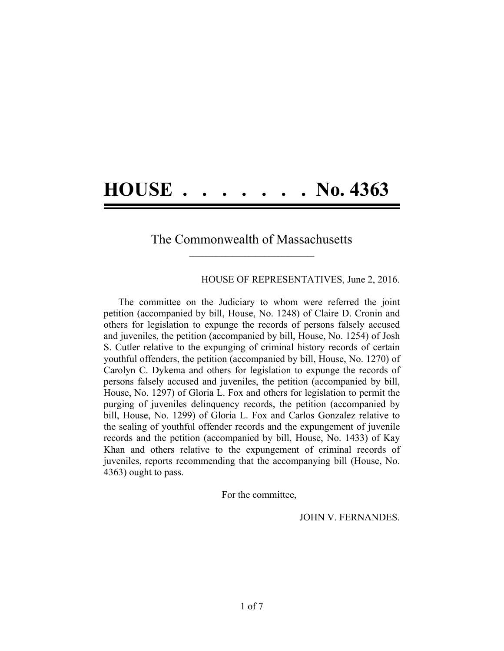## **HOUSE . . . . . . . No. 4363**

## The Commonwealth of Massachusetts **\_\_\_\_\_\_\_\_\_\_\_\_\_\_\_\_\_\_\_\_\_\_\_\_\_\_\_\_\_\_\_\_\_\_\_\_\_\_**

HOUSE OF REPRESENTATIVES, June 2, 2016.

The committee on the Judiciary to whom were referred the joint petition (accompanied by bill, House, No. 1248) of Claire D. Cronin and others for legislation to expunge the records of persons falsely accused and juveniles, the petition (accompanied by bill, House, No. 1254) of Josh S. Cutler relative to the expunging of criminal history records of certain youthful offenders, the petition (accompanied by bill, House, No. 1270) of Carolyn C. Dykema and others for legislation to expunge the records of persons falsely accused and juveniles, the petition (accompanied by bill, House, No. 1297) of Gloria L. Fox and others for legislation to permit the purging of juveniles delinquency records, the petition (accompanied by bill, House, No. 1299) of Gloria L. Fox and Carlos Gonzalez relative to the sealing of youthful offender records and the expungement of juvenile records and the petition (accompanied by bill, House, No. 1433) of Kay Khan and others relative to the expungement of criminal records of juveniles, reports recommending that the accompanying bill (House, No. 4363) ought to pass.

For the committee,

JOHN V. FERNANDES.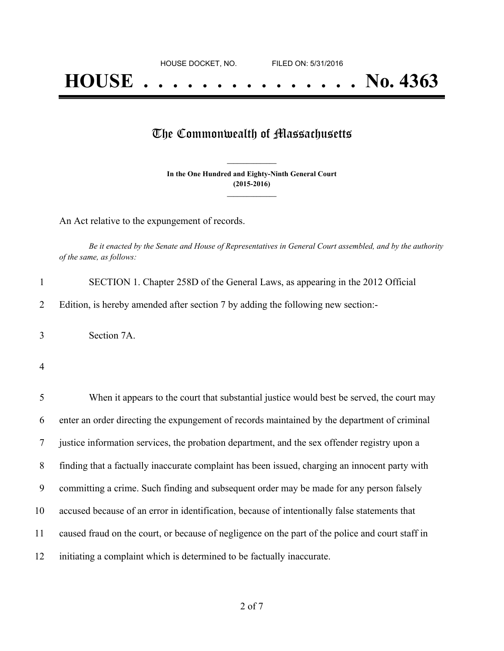## **HOUSE . . . . . . . . . . . . . . . No. 4363**

## The Commonwealth of Massachusetts

**In the One Hundred and Eighty-Ninth General Court (2015-2016) \_\_\_\_\_\_\_\_\_\_\_\_\_\_\_**

**\_\_\_\_\_\_\_\_\_\_\_\_\_\_\_**

An Act relative to the expungement of records.

Be it enacted by the Senate and House of Representatives in General Court assembled, and by the authority *of the same, as follows:*

| SECTION 1. Chapter 258D of the General Laws, as appearing in the 2012 Official   |
|----------------------------------------------------------------------------------|
| Edition, is hereby amended after section 7 by adding the following new section:- |

3 Section 7A.

4

| 5  | When it appears to the court that substantial justice would best be served, the court may        |
|----|--------------------------------------------------------------------------------------------------|
| 6  | enter an order directing the expundement of records maintained by the department of criminal     |
|    | justice information services, the probation department, and the sex offender registry upon a     |
| 8  | finding that a factually inaccurate complaint has been issued, charging an innocent party with   |
| 9  | committing a crime. Such finding and subsequent order may be made for any person falsely         |
| 10 | accused because of an error in identification, because of intentionally false statements that    |
| 11 | caused fraud on the court, or because of negligence on the part of the police and court staff in |
| 12 | initiating a complaint which is determined to be factually inaccurate.                           |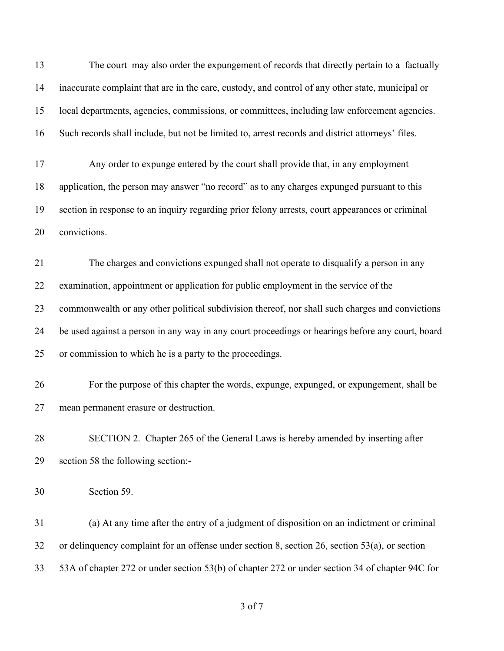The court may also order the expungement of records that directly pertain to a factually inaccurate complaint that are in the care, custody, and control of any other state, municipal or local departments, agencies, commissions, or committees, including law enforcement agencies. Such records shall include, but not be limited to, arrest records and district attorneys' files. Any order to expunge entered by the court shall provide that, in any employment application, the person may answer "no record" as to any charges expunged pursuant to this section in response to an inquiry regarding prior felony arrests, court appearances or criminal convictions. The charges and convictions expunged shall not operate to disqualify a person in any examination, appointment or application for public employment in the service of the commonwealth or any other political subdivision thereof, nor shall such charges and convictions be used against a person in any way in any court proceedings or hearings before any court, board or commission to which he is a party to the proceedings. For the purpose of this chapter the words, expunge, expunged, or expungement, shall be mean permanent erasure or destruction. SECTION 2. Chapter 265 of the General Laws is hereby amended by inserting after section 58 the following section:- Section 59.

 (a) At any time after the entry of a judgment of disposition on an indictment or criminal or delinquency complaint for an offense under section 8, section 26, section 53(a), or section 53A of chapter 272 or under section 53(b) of chapter 272 or under section 34 of chapter 94C for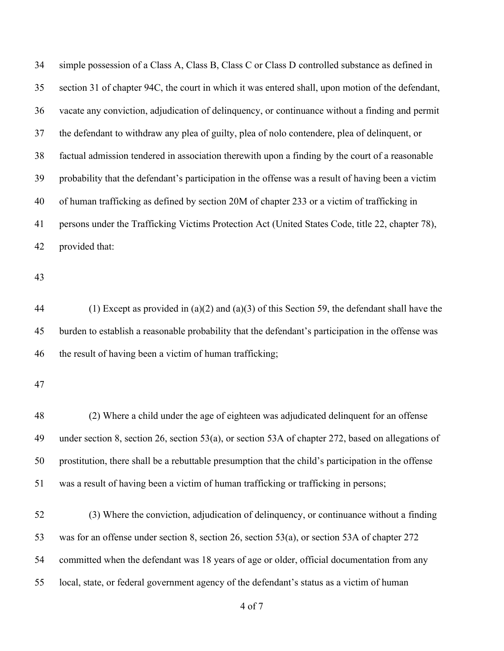simple possession of a Class A, Class B, Class C or Class D controlled substance as defined in section 31 of chapter 94C, the court in which it was entered shall, upon motion of the defendant, vacate any conviction, adjudication of delinquency, or continuance without a finding and permit the defendant to withdraw any plea of guilty, plea of nolo contendere, plea of delinquent, or factual admission tendered in association therewith upon a finding by the court of a reasonable probability that the defendant's participation in the offense was a result of having been a victim of human trafficking as defined by section 20M of chapter 233 or a victim of trafficking in persons under the Trafficking Victims Protection Act (United States Code, title 22, chapter 78), provided that:

 (1) Except as provided in (a)(2) and (a)(3) of this Section 59, the defendant shall have the burden to establish a reasonable probability that the defendant's participation in the offense was the result of having been a victim of human trafficking;

 (2) Where a child under the age of eighteen was adjudicated delinquent for an offense under section 8, section 26, section 53(a), or section 53A of chapter 272, based on allegations of prostitution, there shall be a rebuttable presumption that the child's participation in the offense was a result of having been a victim of human trafficking or trafficking in persons;

 (3) Where the conviction, adjudication of delinquency, or continuance without a finding was for an offense under section 8, section 26, section 53(a), or section 53A of chapter 272 committed when the defendant was 18 years of age or older, official documentation from any local, state, or federal government agency of the defendant's status as a victim of human

of 7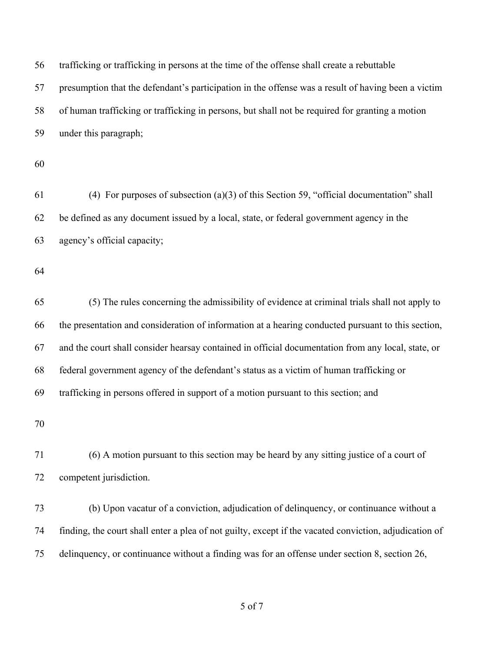trafficking or trafficking in persons at the time of the offense shall create a rebuttable presumption that the defendant's participation in the offense was a result of having been a victim of human trafficking or trafficking in persons, but shall not be required for granting a motion under this paragraph; (4) For purposes of subsection (a)(3) of this Section 59, "official documentation" shall be defined as any document issued by a local, state, or federal government agency in the agency's official capacity; (5) The rules concerning the admissibility of evidence at criminal trials shall not apply to the presentation and consideration of information at a hearing conducted pursuant to this section, and the court shall consider hearsay contained in official documentation from any local, state, or federal government agency of the defendant's status as a victim of human trafficking or trafficking in persons offered in support of a motion pursuant to this section; and (6) A motion pursuant to this section may be heard by any sitting justice of a court of competent jurisdiction. (b) Upon vacatur of a conviction, adjudication of delinquency, or continuance without a finding, the court shall enter a plea of not guilty, except if the vacated conviction, adjudication of delinquency, or continuance without a finding was for an offense under section 8, section 26,

of 7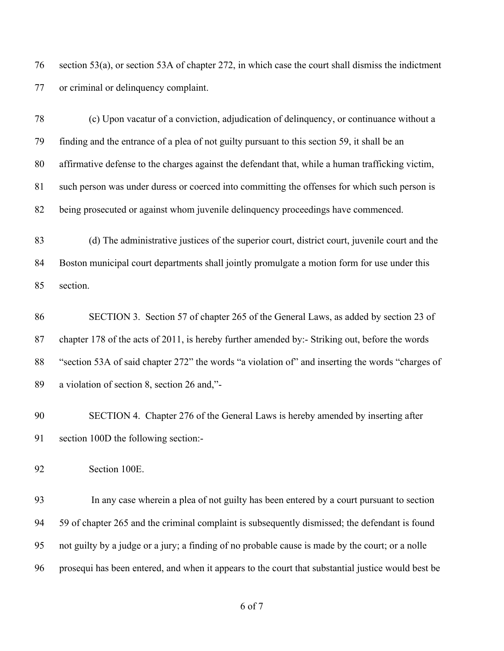section 53(a), or section 53A of chapter 272, in which case the court shall dismiss the indictment or criminal or delinquency complaint.

 (c) Upon vacatur of a conviction, adjudication of delinquency, or continuance without a finding and the entrance of a plea of not guilty pursuant to this section 59, it shall be an affirmative defense to the charges against the defendant that, while a human trafficking victim, such person was under duress or coerced into committing the offenses for which such person is being prosecuted or against whom juvenile delinquency proceedings have commenced.

 (d) The administrative justices of the superior court, district court, juvenile court and the Boston municipal court departments shall jointly promulgate a motion form for use under this section.

 SECTION 3. Section 57 of chapter 265 of the General Laws, as added by section 23 of chapter 178 of the acts of 2011, is hereby further amended by:- Striking out, before the words "section 53A of said chapter 272" the words "a violation of" and inserting the words "charges of a violation of section 8, section 26 and,"-

 SECTION 4. Chapter 276 of the General Laws is hereby amended by inserting after section 100D the following section:-

Section 100E.

 In any case wherein a plea of not guilty has been entered by a court pursuant to section 59 of chapter 265 and the criminal complaint is subsequently dismissed; the defendant is found not guilty by a judge or a jury; a finding of no probable cause is made by the court; or a nolle prosequi has been entered, and when it appears to the court that substantial justice would best be